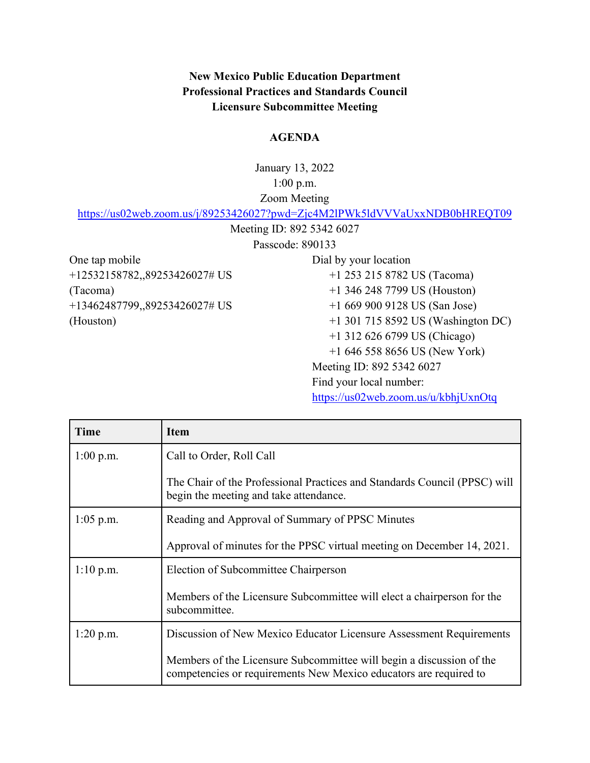**New Mexico Public Education Department Professional Practices and Standards Council Licensure Subcommittee Meeting**

## **AGENDA**

January 13, 2022 1:00 p.m. Zoom Meeting

<https://us02web.zoom.us/j/89253426027?pwd=Zjc4M2lPWk5ldVVVaUxxNDB0bHREQT09>

Meeting ID: 892 5342 6027

Passcode: 890133

One tap mobile +12532158782,,89253426027# US (Tacoma) +13462487799,,89253426027# US (Houston)

Dial by your location +1 253 215 8782 US (Tacoma) +1 346 248 7799 US (Houston) +1 669 900 9128 US (San Jose) +1 301 715 8592 US (Washington DC) +1 312 626 6799 US (Chicago) +1 646 558 8656 US (New York) Meeting ID: 892 5342 6027 Find your local number: <https://us02web.zoom.us/u/kbhjUxnOtq>

| Time        | Item                                                                                                                                      |
|-------------|-------------------------------------------------------------------------------------------------------------------------------------------|
| $1:00$ p.m. | Call to Order, Roll Call                                                                                                                  |
|             | The Chair of the Professional Practices and Standards Council (PPSC) will<br>begin the meeting and take attendance.                       |
| $1:05$ p.m. | Reading and Approval of Summary of PPSC Minutes                                                                                           |
|             | Approval of minutes for the PPSC virtual meeting on December 14, 2021.                                                                    |
| $1:10$ p.m. | Election of Subcommittee Chairperson                                                                                                      |
|             | Members of the Licensure Subcommittee will elect a chairperson for the<br>subcommittee.                                                   |
| $1:20$ p.m. | Discussion of New Mexico Educator Licensure Assessment Requirements                                                                       |
|             | Members of the Licensure Subcommittee will begin a discussion of the<br>competencies or requirements New Mexico educators are required to |